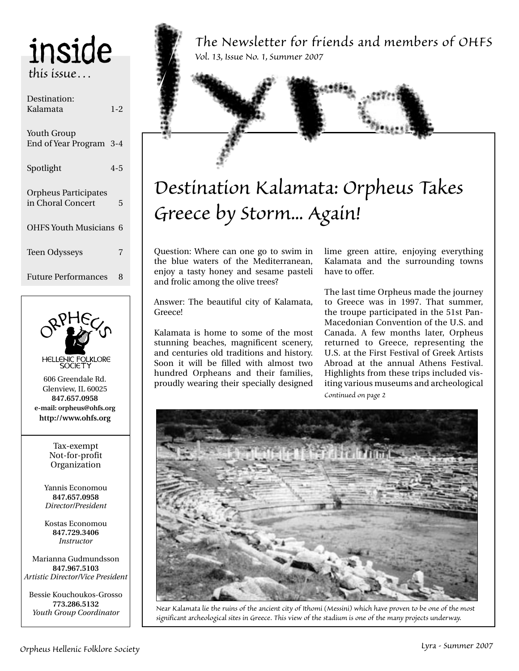## inside *this issue…*

| Destination:<br>Kalamata                         | $1 - 2$ |  |
|--------------------------------------------------|---------|--|
| Youth Group<br>End of Year Program 3-4           |         |  |
| Spotlight                                        | $4 - 5$ |  |
| <b>Orpheus Participates</b><br>in Choral Concert | 5       |  |
| <b>OHFS Youth Musicians 6</b>                    |         |  |
| <b>Teen Odysseys</b>                             | 7       |  |
| <b>Future Performances</b>                       | 8       |  |



**847.967.5103** *Artistic Director/Vice President*

Bessie Kouchoukos-Grosso **773.286.5132** *Youth Group Coordinator*

*The Newsletter for friends and members of OHFS Vol. 13, Issue No. 1, Summer 2007*

## *Destination Kalamata: Orpheus Takes Greece by Storm... Again!*

Question: Where can one go to swim in the blue waters of the Mediterranean, enjoy a tasty honey and sesame pasteli and frolic among the olive trees?

Answer: The beautiful city of Kalamata, Greece!

Kalamata is home to some of the most stunning beaches, magnificent scenery, and centuries old traditions and history. Soon it will be filled with almost two hundred Orpheans and their families, proudly wearing their specially designed lime green attire, enjoying everything Kalamata and the surrounding towns have to offer.

The last time Orpheus made the journey to Greece was in 1997. That summer, the troupe participated in the 51st Pan-Macedonian Convention of the U.S. and Canada. A few months later, Orpheus returned to Greece, representing the U.S. at the First Festival of Greek Artists Abroad at the annual Athens Festival. Highlights from these trips included visiting various museums and archeological *Continued on page 2*



*Near Kalamata lie the ruins of the ancient city of Ithomi (Messini) which have proven to be one of the most significant archeological sites in Greece. This view of the stadium is one of the many projects underway.*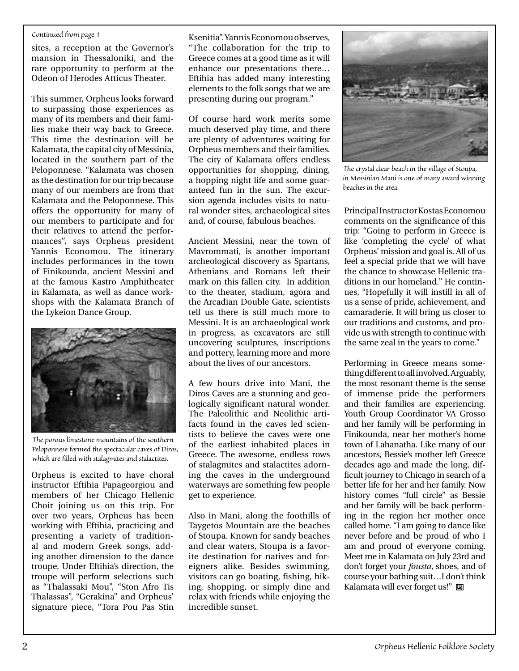### *Continued from page 1*

sites, a reception at the Governor's mansion in Thessaloniki, and the rare opportunity to perform at the Odeon of Herodes Atticus Theater.

This summer, Orpheus looks forward to surpassing those experiences as many of its members and their families make their way back to Greece. This time the destination will be Kalamata, the capital city of Messinia, located in the southern part of the Peloponnese. "Kalamata was chosen as the destination for our trip because many of our members are from that Kalamata and the Peloponnese. This offers the opportunity for many of our members to participate and for their relatives to attend the performances", says Orpheus president Yannis Economou. The itinerary includes performances in the town of Finikounda, ancient Messini and at the famous Kastro Amphitheater in Kalamata, as well as dance workshops with the Kalamata Branch of the Lykeion Dance Group.



*The porous limestone mountains of the southern Peloponnese formed the spectacular caves of Diros, which are filled with stalagmites and stalactites.*

Orpheus is excited to have choral instructor Eftihia Papageorgiou and members of her Chicago Hellenic Choir joining us on this trip. For over two years, Orpheus has been working with Eftihia, practicing and presenting a variety of traditional and modern Greek songs, adding another dimension to the dance troupe. Under Eftihia's direction, the troupe will perform selections such as "Thalassaki Mou", "Ston Afro Tis Thalassas", "Gerakina" and Orpheus' signature piece, "Tora Pou Pas Stin

Ksenitia". Yannis Economou observes, "The collaboration for the trip to Greece comes at a good time as it will enhance our presentations there… Eftihia has added many interesting elements to the folk songs that we are presenting during our program."

Of course hard work merits some much deserved play time, and there are plenty of adventures waiting for Orpheus members and their families. The city of Kalamata offers endless opportunities for shopping, dining, a hopping night life and some guaranteed fun in the sun. The excursion agenda includes visits to natural wonder sites, archaeological sites and, of course, fabulous beaches.

Ancient Messini, near the town of Mavrommati, is another important archeological discovery as Spartans, Athenians and Romans left their mark on this fallen city. In addition to the theater, stadium, agora and the Arcadian Double Gate, scientists tell us there is still much more to Messini. It is an archaeological work in progress, as excavators are still uncovering sculptures, inscriptions and pottery, learning more and more about the lives of our ancestors.

A few hours drive into Mani, the Diros Caves are a stunning and geologically significant natural wonder. The Paleolithic and Neolithic artifacts found in the caves led scientists to believe the caves were one of the earliest inhabited places in Greece. The awesome, endless rows of stalagmites and stalactites adorning the caves in the underground waterways are something few people get to experience.

Also in Mani, along the foothills of Taygetos Mountain are the beaches of Stoupa. Known for sandy beaches and clear waters, Stoupa is a favorite destination for natives and foreigners alike. Besides swimming, visitors can go boating, fishing, hiking, shopping, or simply dine and relax with friends while enjoying the incredible sunset.



*The crystal clear beach in the village of Stoupa, in Messinian Mani is one of many award winning beaches in the area.*

Principal Instructor Kostas Economou comments on the significance of this trip: "Going to perform in Greece is like 'completing the cycle' of what Orpheus' mission and goal is. All of us feel a special pride that we will have the chance to showcase Hellenic traditions in our homeland." He continues, "Hopefully it will instill in all of us a sense of pride, achievement, and camaraderie. It will bring us closer to our traditions and customs, and provide us with strength to continue with the same zeal in the years to come."

Performing in Greece means something different to all involved. Arguably, the most resonant theme is the sense of immense pride the performers and their families are experiencing. Youth Group Coordinator VA Grosso and her family will be performing in Finikounda, near her mother's home town of Lahanatha. Like many of our ancestors, Bessie's mother left Greece decades ago and made the long, difficult journey to Chicago in search of a better life for her and her family. Now history comes "full circle" as Bessie and her family will be back performing in the region her mother once called home. "I am going to dance like never before and be proud of who I am and proud of everyone coming. Meet me in Kalamata on July 23rd and don't forget your *fousta*, shoes, and of course your bathing suit...I don't think Kalamata will ever forget us!" 回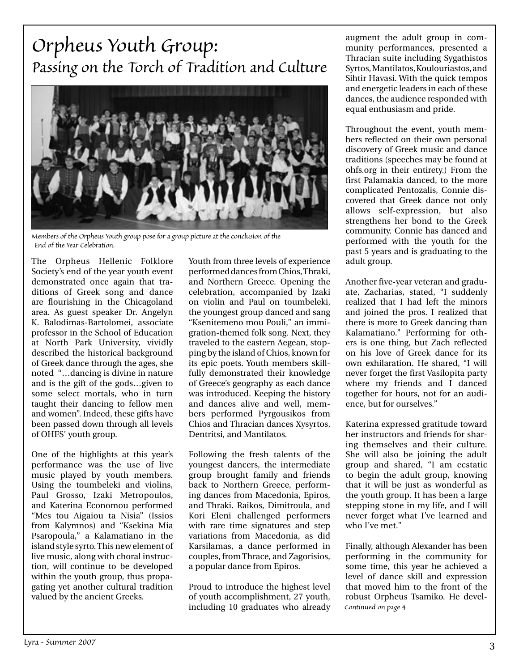### *Orpheus Youth Group: Passing on the Torch of Tradition and Culture*



*Members of the Orpheus Youth group pose for a group picture at the conclusion of the End of the Year Celebration.*

The Orpheus Hellenic Folklore Society's end of the year youth event demonstrated once again that traditions of Greek song and dance are flourishing in the Chicagoland area. As guest speaker Dr. Angelyn K. Balodimas-Bartolomei, associate professor in the School of Education at North Park University, vividly described the historical background of Greek dance through the ages, she noted "…dancing is divine in nature and is the gift of the gods…given to some select mortals, who in turn taught their dancing to fellow men and women". Indeed, these gifts have been passed down through all levels of OHFS' youth group.

One of the highlights at this year's performance was the use of live music played by youth members. Using the toumbeleki and violins, Paul Grosso, Izaki Metropoulos, and Katerina Economou performed "Mes tou Aigaiou ta Nisia" (Issios from Kalymnos) and "Ksekina Mia Psaropoula," a Kalamatiano in the island style syrto. This new element of live music, along with choral instruction, will continue to be developed within the youth group, thus propagating yet another cultural tradition valued by the ancient Greeks.

Youth from three levels of experience performed dances from Chios, Thraki, and Northern Greece. Opening the celebration, accompanied by Izaki on violin and Paul on toumbeleki, the youngest group danced and sang "Ksenitemeno mou Pouli," an immigration-themed folk song. Next, they traveled to the eastern Aegean, stopping by the island of Chios, known for its epic poets. Youth members skillfully demonstrated their knowledge of Greece's geography as each dance was introduced. Keeping the history and dances alive and well, members performed Pyrgousikos from Chios and Thracian dances Xysyrtos, Dentritsi, and Mantilatos.

Following the fresh talents of the youngest dancers, the intermediate group brought family and friends back to Northern Greece, performing dances from Macedonia, Epiros, and Thraki. Raikos, Dimitroula, and Kori Eleni challenged performers with rare time signatures and step variations from Macedonia, as did Karsilamas, a dance performed in couples, from Thrace, and Zagorisios, a popular dance from Epiros.

Proud to introduce the highest level of youth accomplishment, 27 youth, including 10 graduates who already augment the adult group in community performances, presented a Thracian suite including Sygathistos Syrtos, Mantilatos, Koulouriastos, and Sihtir Havasi. With the quick tempos and energetic leaders in each of these dances, the audience responded with equal enthusiasm and pride.

Throughout the event, youth members reflected on their own personal discovery of Greek music and dance traditions (speeches may be found at ohfs.org in their entirety.) From the first Palamakia danced, to the more complicated Pentozalis, Connie discovered that Greek dance not only allows self-expression, but also strengthens her bond to the Greek community. Connie has danced and performed with the youth for the past 5 years and is graduating to the adult group.

Another five-year veteran and graduate, Zacharias, stated, "I suddenly realized that I had left the minors and joined the pros. I realized that there is more to Greek dancing than Kalamatiano." Performing for others is one thing, but Zach reflected on his love of Greek dance for its own exhilaration. He shared, "I will never forget the first Vasilopita party where my friends and I danced together for hours, not for an audience, but for ourselves."

Katerina expressed gratitude toward her instructors and friends for sharing themselves and their culture. She will also be joining the adult group and shared, "I am ecstatic to begin the adult group, knowing that it will be just as wonderful as the youth group. It has been a large stepping stone in my life, and I will never forget what I've learned and who I've met."

Finally, although Alexander has been performing in the community for some time, this year he achieved a level of dance skill and expression that moved him to the front of the robust Orpheus Tsamiko. He devel-*Continued on page 4*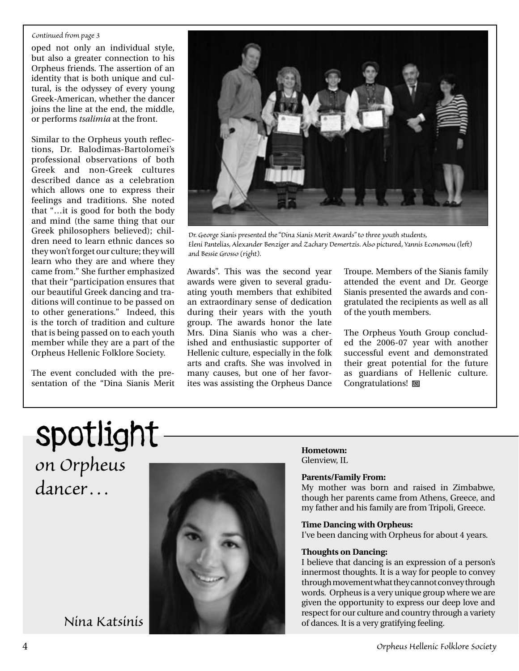### *Continued from page 3*

oped not only an individual style, but also a greater connection to his Orpheus friends. The assertion of an identity that is both unique and cultural, is the odyssey of every young Greek-American, whether the dancer joins the line at the end, the middle, or performs *tsalimia* at the front.

Similar to the Orpheus youth reflections, Dr. Balodimas-Bartolomei's professional observations of both Greek and non-Greek cultures described dance as a celebration which allows one to express their feelings and traditions. She noted that "…it is good for both the body and mind (the same thing that our Greek philosophers believed); children need to learn ethnic dances so they won't forget our culture; they will learn who they are and where they came from." She further emphasized that their "participation ensures that our beautiful Greek dancing and traditions will continue to be passed on to other generations." Indeed, this is the torch of tradition and culture that is being passed on to each youth member while they are a part of the Orpheus Hellenic Folklore Society.

The event concluded with the presentation of the "Dina Sianis Merit



*Dr. George Sianis presented the "Dina Sianis Merit Awards" to three youth students, Eleni Pantelias, Alexander Benziger and Zachary Demertzis. Also pictured, Yannis Economou (left) and Bessie Grosso (right).*

Awards". This was the second year awards were given to several graduating youth members that exhibited an extraordinary sense of dedication during their years with the youth group. The awards honor the late Mrs. Dina Sianis who was a cherished and enthusiastic supporter of Hellenic culture, especially in the folk arts and crafts. She was involved in many causes, but one of her favorites was assisting the Orpheus Dance

Troupe. Members of the Sianis family attended the event and Dr. George Sianis presented the awards and congratulated the recipients as well as all of the youth members.

The Orpheus Youth Group concluded the 2006-07 year with another successful event and demonstrated their great potential for the future as guardians of Hellenic culture. Congratulations!  $\Box$ 

## spotlight *on Orpheus dancer…*



**Hometown:** Glenview, IL

### **Parents/Family From:**

My mother was born and raised in Zimbabwe, though her parents came from Athens, Greece, and my father and his family are from Tripoli, Greece.

### **Time Dancing with Orpheus:**

I've been dancing with Orpheus for about 4 years.

### **Thoughts on Dancing:**

I believe that dancing is an expression of a person's innermost thoughts. It is a way for people to convey through movement what they cannot convey through words. Orpheus is a very unique group where we are given the opportunity to express our deep love and respect for our culture and country through a variety *Nina Katsinis* of dances. It is a very gratifying feeling.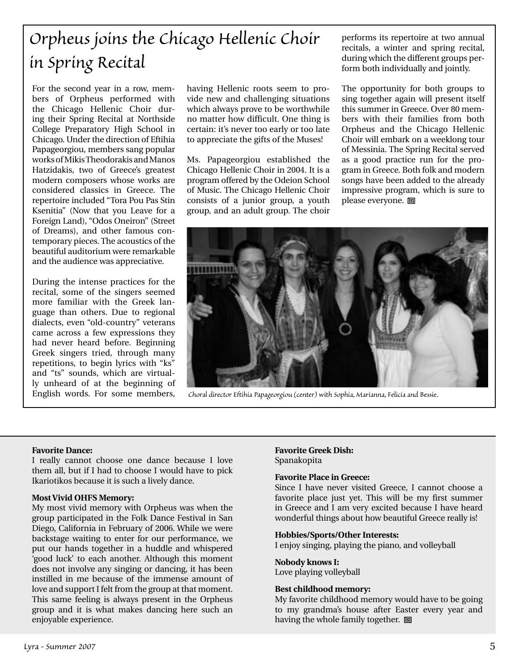## *Orpheus joins the Chicago Hellenic Choir in Spring Recital*

For the second year in a row, members of Orpheus performed with the Chicago Hellenic Choir during their Spring Recital at Northside College Preparatory High School in Chicago. Under the direction of Eftihia Papageorgiou, members sang popular works of Mikis Theodorakis and Manos Hatzidakis, two of Greece's greatest modern composers whose works are considered classics in Greece. The repertoire included "Tora Pou Pas Stin Ksenitia" (Now that you Leave for a Foreign Land), "Odos Oneiron" (Street of Dreams), and other famous contemporary pieces. The acoustics of the beautiful auditorium were remarkable and the audience was appreciative.

During the intense practices for the recital, some of the singers seemed more familiar with the Greek language than others. Due to regional dialects, even "old-country" veterans came across a few expressions they had never heard before. Beginning Greek singers tried, through many repetitions, to begin lyrics with "ks" and "ts" sounds, which are virtually unheard of at the beginning of English words. For some members,

having Hellenic roots seem to provide new and challenging situations which always prove to be worthwhile no matter how difficult. One thing is certain: it's never too early or too late to appreciate the gifts of the Muses!

Ms. Papageorgiou established the Chicago Hellenic Choir in 2004. It is a program offered by the Odeion School of Music. The Chicago Hellenic Choir consists of a junior group, a youth group, and an adult group. The choir

performs its repertoire at two annual recitals, a winter and spring recital, during which the different groups perform both individually and jointly.

The opportunity for both groups to sing together again will present itself this summer in Greece. Over 80 members with their families from both Orpheus and the Chicago Hellenic Choir will embark on a weeklong tour of Messinia. The Spring Recital served as a good practice run for the program in Greece. Both folk and modern songs have been added to the already impressive program, which is sure to please everyone. 回



*Choral director Eftihia Papageorgiou (center) with Sophia, Marianna, Felicia and Bessie.*

### **Favorite Dance:**

I really cannot choose one dance because I love them all, but if I had to choose I would have to pick Ikariotikos because it is such a lively dance.

### **Most Vivid OHFS Memory:**

My most vivid memory with Orpheus was when the group participated in the Folk Dance Festival in San Diego, California in February of 2006. While we were backstage waiting to enter for our performance, we put our hands together in a huddle and whispered 'good luck' to each another. Although this moment does not involve any singing or dancing, it has been instilled in me because of the immense amount of love and support I felt from the group at that moment. This same feeling is always present in the Orpheus group and it is what makes dancing here such an enjoyable experience.

### **Favorite Greek Dish:**  Spanakopita

### **Favorite Place in Greece:**

Since I have never visited Greece, I cannot choose a favorite place just yet. This will be my first summer in Greece and I am very excited because I have heard wonderful things about how beautiful Greece really is!

### **Hobbies/Sports/Other Interests:**

I enjoy singing, playing the piano, and volleyball

### **Nobody knows I:**

Love playing volleyball

### **Best childhood memory:**

My favorite childhood memory would have to be going to my grandma's house after Easter every year and having the whole family together. **回**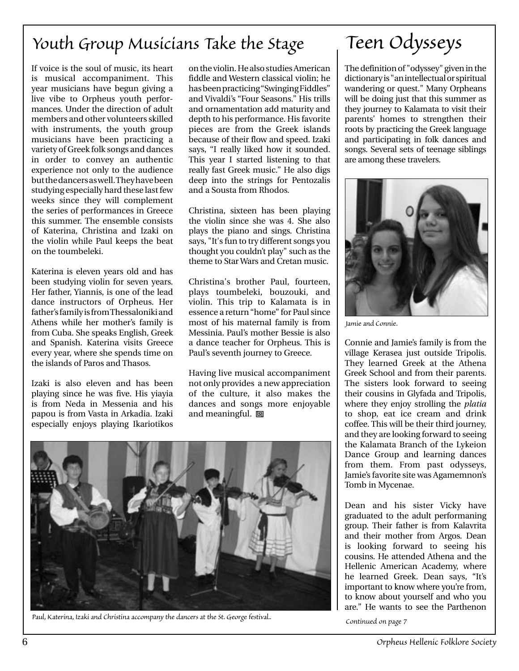### *Youth Group Musicians Take the Stage*

If voice is the soul of music, its heart is musical accompaniment. This year musicians have begun giving a live vibe to Orpheus youth performances. Under the direction of adult members and other volunteers skilled with instruments, the youth group musicians have been practicing a variety of Greek folk songs and dances in order to convey an authentic experience not only to the audience but the dancers as well. They have been studying especially hard these last few weeks since they will complement the series of performances in Greece this summer. The ensemble consists of Katerina, Christina and Izaki on the violin while Paul keeps the beat on the toumbeleki.

Katerina is eleven years old and has been studying violin for seven years. Her father, Yiannis, is one of the lead dance instructors of Orpheus. Her father's family is from Thessaloniki and Athens while her mother's family is from Cuba. She speaks English, Greek and Spanish. Katerina visits Greece every year, where she spends time on the islands of Paros and Thasos.

Izaki is also eleven and has been playing since he was five. His yiayia is from Neda in Messenia and his papou is from Vasta in Arkadia. Izaki especially enjoys playing Ikariotikos

on the violin. He also studies American fiddle and Western classical violin; he has been practicing "Swinging Fiddles" and Vivaldi's "Four Seasons." His trills and ornamentation add maturity and depth to his performance. His favorite pieces are from the Greek islands because of their flow and speed. Izaki says, "I really liked how it sounded. This year I started listening to that really fast Greek music." He also digs deep into the strings for Pentozalis and a Sousta from Rhodos.

Christina, sixteen has been playing the violin since she was 4. She also plays the piano and sings. Christina says, "It's fun to try different songs you thought you couldn't play" such as the theme to Star Wars and Cretan music.

Christina's brother Paul, fourteen, plays toumbeleki, bouzouki, and violin. This trip to Kalamata is in essence a return "home" for Paul since most of his maternal family is from Messinia. Paul's mother Bessie is also a dance teacher for Orpheus. This is Paul's seventh journey to Greece.

Having live musical accompaniment not only provides a new appreciation of the culture, it also makes the dances and songs more enjoyable and meaningful.  $\Box$ 



*Paul, Katerina, Izaki and Christina accompany the dancers at the St. George festival..*

## *Teen Odysseys*

The definition of "odyssey" given in the dictionary is "an intellectual or spiritual wandering or quest." Many Orpheans will be doing just that this summer as they journey to Kalamata to visit their parents' homes to strengthen their roots by practicing the Greek language and participating in folk dances and songs. Several sets of teenage siblings are among these travelers.



*Jamie and Connie.*

Connie and Jamie's family is from the village Kerasea just outside Tripolis. They learned Greek at the Athena Greek School and from their parents. The sisters look forward to seeing their cousins in Glyfada and Tripolis, where they enjoy strolling the *platia* to shop, eat ice cream and drink coffee. This will be their third journey, and they are looking forward to seeing the Kalamata Branch of the Lykeion Dance Group and learning dances from them. From past odysseys, Jamie's favorite site was Agamemnon's Tomb in Mycenae.

Dean and his sister Vicky have graduated to the adult performaning group. Their father is from Kalavrita and their mother from Argos. Dean is looking forward to seeing his cousins. He attended Athena and the Hellenic American Academy, where he learned Greek. Dean says, "It's important to know where you're from, to know about yourself and who you are." He wants to see the Parthenon

*Continued on page 7*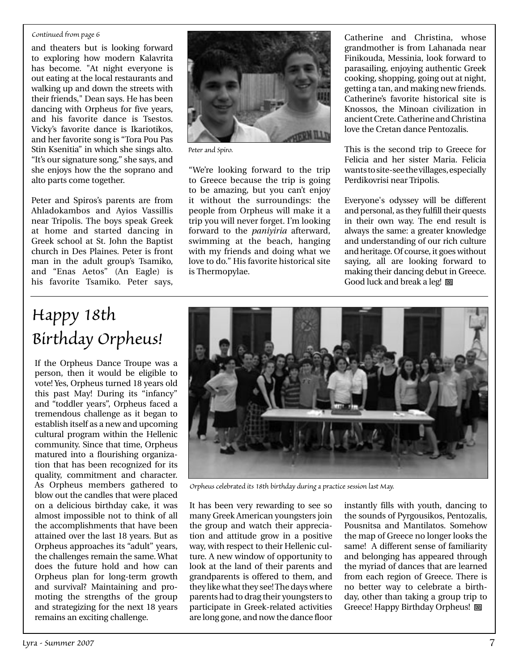### *Continued from page 6*

and theaters but is looking forward to exploring how modern Kalavrita has become. "At night everyone is out eating at the local restaurants and walking up and down the streets with their friends," Dean says. He has been dancing with Orpheus for five years, and his favorite dance is Tsestos. Vicky's favorite dance is Ikariotikos, and her favorite song is "Tora Pou Pas Stin Ksenitia" in which she sings alto. "It's our signature song," she says, and she enjoys how the the soprano and alto parts come together.

Peter and Spiros's parents are from Ahladokambos and Ayios Vassillis near Tripolis. The boys speak Greek at home and started dancing in Greek school at St. John the Baptist church in Des Plaines. Peter is front man in the adult group's Tsamiko, and "Enas Aetos" (An Eagle) is his favorite Tsamiko. Peter says,



*Peter and Spiro.*

"We're looking forward to the trip to Greece because the trip is going to be amazing, but you can't enjoy it without the surroundings: the people from Orpheus will make it a trip you will never forget. I'm looking forward to the *paniyiria* afterward, swimming at the beach, hanging with my friends and doing what we love to do." His favorite historical site is Thermopylae.

Catherine and Christina, whose grandmother is from Lahanada near Finikouda, Messinia, look forward to parasailing, enjoying authentic Greek cooking, shopping, going out at night, getting a tan, and making new friends. Catherine's favorite historical site is Knossos, the Minoan civilization in ancient Crete. Catherine and Christina love the Cretan dance Pentozalis.

This is the second trip to Greece for Felicia and her sister Maria. Felicia wants to site-see the villages, especially Perdikovrisi near Tripolis.

Everyone's odyssey will be different and personal, as they fulfill their quests in their own way. The end result is always the same: a greater knowledge and understanding of our rich culture and heritage. Of course, it goes without saying, all are looking forward to making their dancing debut in Greece. Good luck and break a leg!  $\Box$ 

### *Happy 18th Birthday Orpheus!*

If the Orpheus Dance Troupe was a person, then it would be eligible to vote! Yes, Orpheus turned 18 years old this past May! During its "infancy" and "toddler years", Orpheus faced a tremendous challenge as it began to establish itself as a new and upcoming cultural program within the Hellenic community. Since that time, Orpheus matured into a flourishing organization that has been recognized for its quality, commitment and character. As Orpheus members gathered to blow out the candles that were placed on a delicious birthday cake, it was almost impossible not to think of all the accomplishments that have been attained over the last 18 years. But as Orpheus approaches its "adult" years, the challenges remain the same. What does the future hold and how can Orpheus plan for long-term growth and survival? Maintaining and promoting the strengths of the group and strategizing for the next 18 years remains an exciting challenge.



*Orpheus celebrated its 18th birthday during a practice session last May.*

It has been very rewarding to see so many Greek American youngsters join the group and watch their appreciation and attitude grow in a positive way, with respect to their Hellenic culture. A new window of opportunity to look at the land of their parents and grandparents is offered to them, and they like what they see! The days where parents had to drag their youngsters to participate in Greek-related activities are long gone, and now the dance floor

instantly fills with youth, dancing to the sounds of Pyrgousikos, Pentozalis, Pousnitsa and Mantilatos. Somehow the map of Greece no longer looks the same! A different sense of familiarity and belonging has appeared through the myriad of dances that are learned from each region of Greece. There is no better way to celebrate a birthday, other than taking a group trip to Greece! Happy Birthday Orpheus! 回